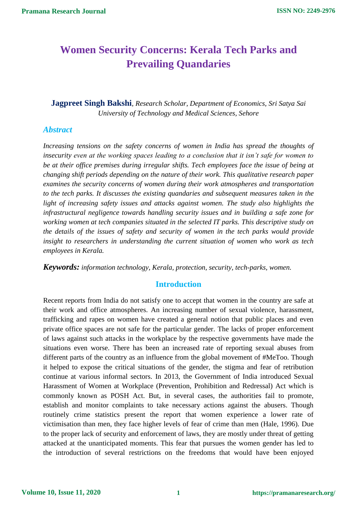# **Women Security Concerns: Kerala Tech Parks and Prevailing Quandaries**

**Jagpreet Singh Bakshi***, Research Scholar, Department of Economics, Sri Satya Sai University of Technology and Medical Sciences, Sehore* 

#### *Abstract*

*Increasing tensions on the safety concerns of women in India has spread the thoughts of insecurity even at the working spaces leading to a conclusion that it isn't safe for women to be at their office premises during irregular shifts. Tech employees face the issue of being at changing shift periods depending on the nature of their work. This qualitative research paper examines the security concerns of women during their work atmospheres and transportation to the tech parks. It discusses the existing quandaries and subsequent measures taken in the light of increasing safety issues and attacks against women. The study also highlights the infrastructural negligence towards handling security issues and in building a safe zone for working women at tech companies situated in the selected IT parks. This descriptive study on the details of the issues of safety and security of women in the tech parks would provide insight to researchers in understanding the current situation of women who work as tech employees in Kerala.* 

*Keywords: information technology, Kerala, protection, security, tech-parks, women.*

### **Introduction**

Recent reports from India do not satisfy one to accept that women in the country are safe at their work and office atmospheres. An increasing number of sexual violence, harassment, trafficking and rapes on women have created a general notion that public places and even private office spaces are not safe for the particular gender. The lacks of proper enforcement of laws against such attacks in the workplace by the respective governments have made the situations even worse. There has been an increased rate of reporting sexual abuses from different parts of the country as an influence from the global movement of #MeToo. Though it helped to expose the critical situations of the gender, the stigma and fear of retribution continue at various informal sectors. In 2013, the Government of India introduced Sexual Harassment of Women at Workplace (Prevention, Prohibition and Redressal) Act which is commonly known as POSH Act. But, in several cases, the authorities fail to promote, establish and monitor complaints to take necessary actions against the abusers. Though routinely crime statistics present the report that women experience a lower rate of victimisation than men, they face higher levels of fear of crime than men (Hale, 1996). Due to the proper lack of security and enforcement of laws, they are mostly under threat of getting attacked at the unanticipated moments. This fear that pursues the women gender has led to the introduction of several restrictions on the freedoms that would have been enjoyed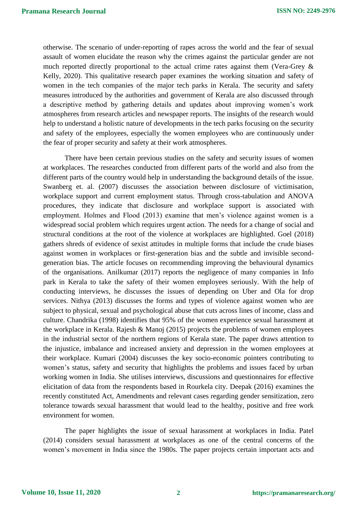otherwise. The scenario of under-reporting of rapes across the world and the fear of sexual assault of women elucidate the reason why the crimes against the particular gender are not much reported directly proportional to the actual crime rates against them (Vera-Grey & Kelly, 2020). This qualitative research paper examines the working situation and safety of women in the tech companies of the major tech parks in Kerala. The security and safety measures introduced by the authorities and government of Kerala are also discussed through a descriptive method by gathering details and updates about improving women's work atmospheres from research articles and newspaper reports. The insights of the research would help to understand a holistic nature of developments in the tech parks focusing on the security and safety of the employees, especially the women employees who are continuously under the fear of proper security and safety at their work atmospheres.

There have been certain previous studies on the safety and security issues of women at workplaces. The researches conducted from different parts of the world and also from the different parts of the country would help in understanding the background details of the issue. Swanberg et. al. (2007) discusses the association between disclosure of victimisation, workplace support and current employment status. Through cross-tabulation and ANOVA procedures, they indicate that disclosure and workplace support is associated with employment. Holmes and Flood (2013) examine that men's violence against women is a widespread social problem which requires urgent action. The needs for a change of social and structural conditions at the root of the violence at workplaces are highlighted. Goel (2018) gathers shreds of evidence of sexist attitudes in multiple forms that include the crude biases against women in workplaces or first-generation bias and the subtle and invisible secondgeneration bias. The article focuses on recommending improving the behavioural dynamics of the organisations. Anilkumar (2017) reports the negligence of many companies in Info park in Kerala to take the safety of their women employees seriously. With the help of conducting interviews, he discusses the issues of depending on Uber and Ola for drop services. Nithya (2013) discusses the forms and types of violence against women who are subject to physical, sexual and psychological abuse that cuts across lines of income, class and culture. Chandrika (1998) identifies that 95% of the women experience sexual harassment at the workplace in Kerala. Rajesh & Manoj (2015) projects the problems of women employees in the industrial sector of the northern regions of Kerala state. The paper draws attention to the injustice, imbalance and increased anxiety and depression in the women employees at their workplace. Kumari (2004) discusses the key socio-economic pointers contributing to women's status, safety and security that highlights the problems and issues faced by urban working women in India. She utilises interviews, discussions and questionnaires for effective elicitation of data from the respondents based in Rourkela city. Deepak (2016) examines the recently constituted Act, Amendments and relevant cases regarding gender sensitization, zero tolerance towards sexual harassment that would lead to the healthy, positive and free work environment for women.

The paper highlights the issue of sexual harassment at workplaces in India. Patel (2014) considers sexual harassment at workplaces as one of the central concerns of the women's movement in India since the 1980s. The paper projects certain important acts and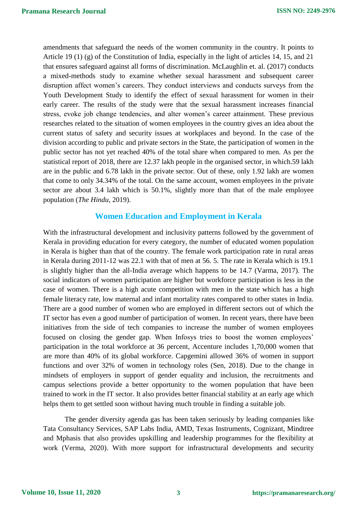amendments that safeguard the needs of the women community in the country. It points to Article 19 (1) (g) of the Constitution of India, especially in the light of articles 14, 15, and 21 that ensures safeguard against all forms of discrimination. McLaughlin et. al. (2017) conducts a mixed-methods study to examine whether sexual harassment and subsequent career disruption affect women's careers. They conduct interviews and conducts surveys from the Youth Development Study to identify the effect of sexual harassment for women in their early career. The results of the study were that the sexual harassment increases financial stress, evoke job change tendencies, and alter women's career attainment. These previous researches related to the situation of women employees in the country gives an idea about the current status of safety and security issues at workplaces and beyond. In the case of the division according to public and private sectors in the State, the participation of women in the public sector has not yet reached 40% of the total share when compared to men. As per the statistical report of 2018, there are 12.37 lakh people in the organised sector, in which.59 lakh are in the public and 6.78 lakh in the private sector. Out of these, only 1.92 lakh are women that come to only 34.34% of the total. On the same account, women employees in the private sector are about 3.4 lakh which is 50.1%, slightly more than that of the male employee population (*The Hindu*, 2019).

# **Women Education and Employment in Kerala**

With the infrastructural development and inclusivity patterns followed by the government of Kerala in providing education for every category, the number of educated women population in Kerala is higher than that of the country. The female work participation rate in rural areas in Kerala during 2011-12 was 22.1 with that of men at 56. 5. The rate in Kerala which is 19.1 is slightly higher than the all-India average which happens to be 14.7 (Varma, 2017). The social indicators of women participation are higher but workforce participation is less in the case of women. There is a high acute competition with men in the state which has a high female literacy rate, low maternal and infant mortality rates compared to other states in India. There are a good number of women who are employed in different sectors out of which the IT sector has even a good number of participation of women. In recent years, there have been initiatives from the side of tech companies to increase the number of women employees focused on closing the gender gap. When Infosys tries to boost the women employees' participation in the total workforce at 36 percent, Accenture includes 1,70,000 women that are more than 40% of its global workforce. Capgemini allowed 36% of women in support functions and over 32% of women in technology roles (Sen, 2018). Due to the change in mindsets of employers in support of gender equality and inclusion, the recruitments and campus selections provide a better opportunity to the women population that have been trained to work in the IT sector. It also provides better financial stability at an early age which helps them to get settled soon without having much trouble in finding a suitable job.

The gender diversity agenda gas has been taken seriously by leading companies like Tata Consultancy Services, SAP Labs India, AMD, Texas Instruments, Cognizant, Mindtree and Mphasis that also provides upskilling and leadership programmes for the flexibility at work (Verma, 2020). With more support for infrastructural developments and security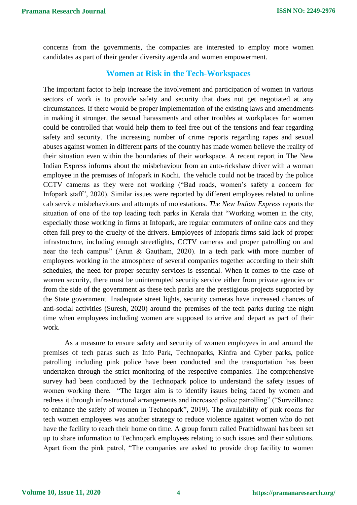concerns from the governments, the companies are interested to employ more women candidates as part of their gender diversity agenda and women empowerment.

#### **Women at Risk in the Tech-Workspaces**

The important factor to help increase the involvement and participation of women in various sectors of work is to provide safety and security that does not get negotiated at any circumstances. If there would be proper implementation of the existing laws and amendments in making it stronger, the sexual harassments and other troubles at workplaces for women could be controlled that would help them to feel free out of the tensions and fear regarding safety and security. The increasing number of crime reports regarding rapes and sexual abuses against women in different parts of the country has made women believe the reality of their situation even within the boundaries of their workspace. A recent report in The New Indian Express informs about the misbehaviour from an auto-rickshaw driver with a woman employee in the premises of Infopark in Kochi. The vehicle could not be traced by the police CCTV cameras as they were not working ("Bad roads, women's safety a concern for Infopark staff", 2020). Similar issues were reported by different employees related to online cab service misbehaviours and attempts of molestations. *The New Indian Express* reports the situation of one of the top leading tech parks in Kerala that "Working women in the city, especially those working in firms at Infopark, are regular commuters of online cabs and they often fall prey to the cruelty of the drivers. Employees of Infopark firms said lack of proper infrastructure, including enough streetlights, CCTV cameras and proper patrolling on and near the tech campus" (Arun & Gautham, 2020). In a tech park with more number of employees working in the atmosphere of several companies together according to their shift schedules, the need for proper security services is essential. When it comes to the case of women security, there must be uninterrupted security service either from private agencies or from the side of the government as these tech parks are the prestigious projects supported by the State government. Inadequate street lights, security cameras have increased chances of anti-social activities (Suresh, 2020) around the premises of the tech parks during the night time when employees including women are supposed to arrive and depart as part of their work.

As a measure to ensure safety and security of women employees in and around the premises of tech parks such as Info Park, Technoparks, Kinfra and Cyber parks, police patrolling including pink police have been conducted and the transportation has been undertaken through the strict monitoring of the respective companies. The comprehensive survey had been conducted by the Technopark police to understand the safety issues of women working there. "The larger aim is to identify issues being faced by women and redress it through infrastructural arrangements and increased police patrolling" ("Surveillance to enhance the safety of women in Technopark", 2019). The availability of pink rooms for tech women employees was another strategy to reduce violence against women who do not have the facility to reach their home on time. A group forum called Prathidhwani has been set up to share information to Technopark employees relating to such issues and their solutions. Apart from the pink patrol, "The companies are asked to provide drop facility to women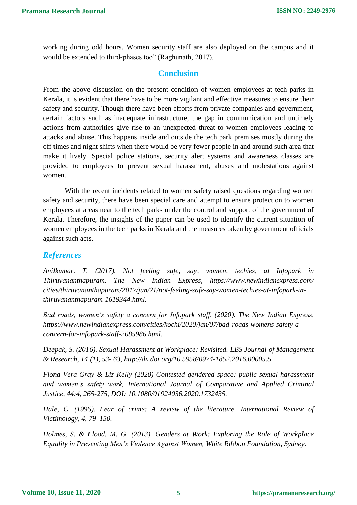working during odd hours. Women security staff are also deployed on the campus and it would be extended to third-phases too" (Raghunath, 2017).

# **Conclusion**

From the above discussion on the present condition of women employees at tech parks in Kerala, it is evident that there have to be more vigilant and effective measures to ensure their safety and security. Though there have been efforts from private companies and government, certain factors such as inadequate infrastructure, the gap in communication and untimely actions from authorities give rise to an unexpected threat to women employees leading to attacks and abuse. This happens inside and outside the tech park premises mostly during the off times and night shifts when there would be very fewer people in and around such area that make it lively. Special police stations, security alert systems and awareness classes are provided to employees to prevent sexual harassment, abuses and molestations against women.

With the recent incidents related to women safety raised questions regarding women safety and security, there have been special care and attempt to ensure protection to women employees at areas near to the tech parks under the control and support of the government of Kerala. Therefore, the insights of the paper can be used to identify the current situation of women employees in the tech parks in Kerala and the measures taken by government officials against such acts.

## *References*

*Anilkumar. T. (2017). Not feeling safe, say, women, techies, at Infopark in Thiruvananthapuram. The New Indian Express, https://www.newindianexpress.com/ cities/thiruvananthapuram/2017/jun/21/not-feeling-safe-say-women-techies-at-infopark-inthiruvananthapuram-1619344.html.*

*Bad roads, women's safety a concern for Infopark staff. (2020). The New Indian Express, https://www.newindianexpress.com/cities/kochi/2020/jan/07/bad-roads-womens-safety-aconcern-for-infopark-staff-2085986.html.*

*Deepak, S. (2016). Sexual Harassment at Workplace: Revisited. LBS Journal of Management & Research, 14 (1), 53- 63, http://dx.doi.org/10.5958/0974-1852.2016.00005.5.*

*Fiona Vera-Gray & Liz Kelly (2020) Contested gendered space: public sexual harassment and women's safety work, International Journal of Comparative and Applied Criminal Justice, 44:4, 265-275, DOI: 10.1080/01924036.2020.1732435.*

*Hale, C. (1996). Fear of crime: A review of the literature. International Review of Victimology, 4, 79–150.*

*Holmes, S. & Flood, M. G. (2013). Genders at Work: Exploring the Role of Workplace Equality in Preventing Men's Violence Against Women, White Ribbon Foundation, Sydney.*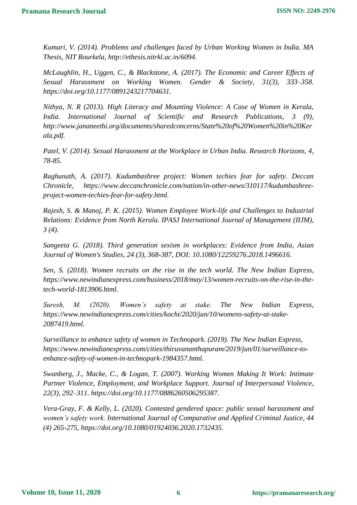*Kumari, V. (2014). Problems and challenges faced by Urban Working Women in India. MA Thesis, NIT Rourkela, http://ethesis.nitrkl.ac.in/6094.*

*McLaughlin, H., Uggen, C., & Blackstone, A. (2017). The Economic and Career Effects of Sexual Harassment on Working Women. Gender & Society, 31(3), 333–358. https://doi.org/10.1177/0891243217704631.*

*Nithya, N. R (2013). High Literacy and Mounting Violence: A Case of Women in Kerala, India. International Journal of Scientific and Research Publications, 3 (9), http://www.jananeethi.org/documents/sharedconcerns/State%20of%20Women%20in%20Ker ala.pdf.*

*Patel, V. (2014). Sexual Harassment at the Workplace in Urban India. Research Horizons, 4, 78-85.*

*Raghunath, A. (2017). Kudumbashree project: Women techies fear for safety. Deccan Chronicle, https://www.deccanchronicle.com/nation/in-other-news/310117/kudumbashreeproject-women-techies-fear-for-safety.html.*

*Rajesh, S. & Manoj, P. K. (2015). Women Employee Work-life and Challenges to Industrial Relations: Evidence from North Kerala. IPASJ International Journal of Management (IIJM), 3 (4).*

*Sangeeta G. (2018). Third generation sexism in workplaces: Evidence from India, Asian Journal of Women's Studies, 24 (3), 368-387, DOI: 10.1080/12259276.2018.1496616.*

*Sen, S. (2018). Women recruits on the rise in the tech world. The New Indian Express, https://www.newindianexpress.com/business/2018/may/13/women-recruits-on-the-rise-in-thetech-world-1813906.html.*

*Suresh, M. (2020). Women's safety at stake. The New Indian Express, https://www.newindianexpress.com/cities/kochi/2020/jan/10/womens-safety-at-stake-2087419.html.*

*Surveillance to enhance safety of women in Technopark. (2019). The New Indian Express, https://www.newindianexpress.com/cities/thiruvananthapuram/2019/jun/01/surveillance-toenhance-safety-of-women-in-technopark-1984357.html.*

*Swanberg, J., Macke, C., & Logan, T. (2007). Working Women Making It Work: Intimate Partner Violence, Employment, and Workplace Support. Journal of Interpersonal Violence, 22(3), 292–311. https://doi.org/10.1177/0886260506295387.*

*Vera-Gray, F. & Kelly, L. (2020). Contested gendered space: public sexual harassment and women's safety work. International Journal of Comparative and Applied Criminal Justice, 44 (4) 265-275, https://doi.org/10.1080/01924036.2020.1732435.*